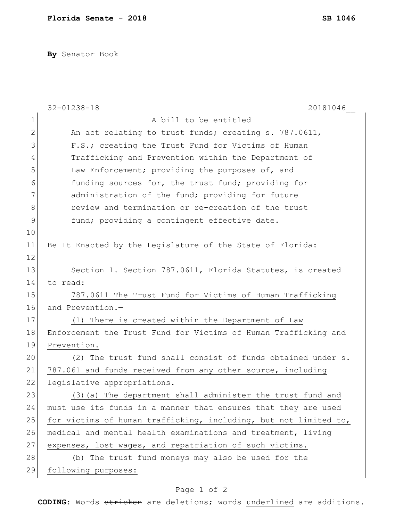**By** Senator Book

|                | 20181046<br>$32 - 01238 - 18$                                    |
|----------------|------------------------------------------------------------------|
| $\mathbf 1$    | A bill to be entitled                                            |
| $\mathbf{2}$   | An act relating to trust funds; creating s. 787.0611,            |
| 3              | F.S.; creating the Trust Fund for Victims of Human               |
| $\overline{4}$ | Trafficking and Prevention within the Department of              |
| 5              | Law Enforcement; providing the purposes of, and                  |
| 6              | funding sources for, the trust fund; providing for               |
| 7              | administration of the fund; providing for future                 |
| $8\,$          | review and termination or re-creation of the trust               |
| 9              | fund; providing a contingent effective date.                     |
| 10             |                                                                  |
| 11             | Be It Enacted by the Legislature of the State of Florida:        |
| 12             |                                                                  |
| 13             | Section 1. Section 787.0611, Florida Statutes, is created        |
| 14             | to read:                                                         |
| 15             | 787.0611 The Trust Fund for Victims of Human Trafficking         |
| 16             | and Prevention.-                                                 |
| 17             | (1) There is created within the Department of Law                |
| 18             | Enforcement the Trust Fund for Victims of Human Trafficking and  |
| 19             | Prevention.                                                      |
| 20             | (2) The trust fund shall consist of funds obtained under s.      |
| 21             | 787.061 and funds received from any other source, including      |
| 22             | legislative appropriations.                                      |
| 23             | (3) (a) The department shall administer the trust fund and       |
| 24             | must use its funds in a manner that ensures that they are used   |
| 25             | for victims of human trafficking, including, but not limited to, |
| 26             | medical and mental health examinations and treatment, living     |
| 27             | expenses, lost wages, and repatriation of such victims.          |
| 28             | (b) The trust fund moneys may also be used for the               |
| 29             | following purposes:                                              |

## Page 1 of 2

**CODING**: Words stricken are deletions; words underlined are additions.